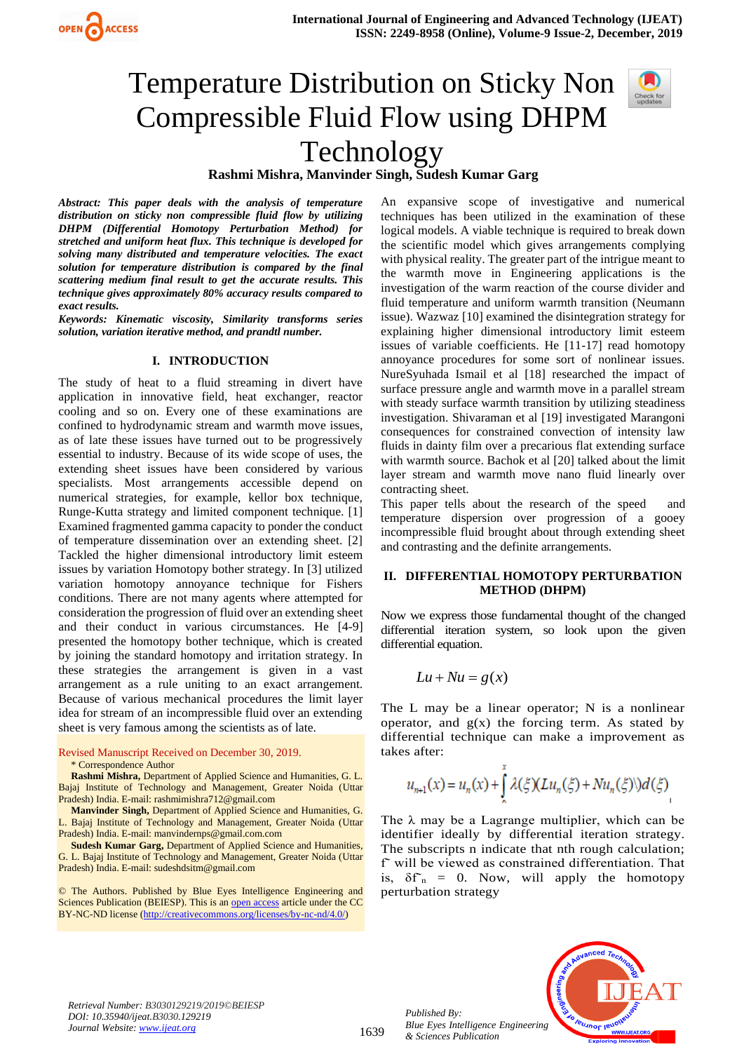

# Temperature Distribution on Sticky Non Compressible Fluid Flow using DHPM Technology

# **Rashmi Mishra, Manvinder Singh, Sudesh Kumar Garg**

*Abstract: This paper deals with the analysis of temperature distribution on sticky non compressible fluid flow by utilizing DHPM (Differential Homotopy Perturbation Method) for stretched and uniform heat flux. This technique is developed for solving many distributed and temperature velocities. The exact solution for temperature distribution is compared by the final scattering medium final result to get the accurate results. This technique gives approximately 80% accuracy results compared to exact results.*

*Keywords: Kinematic viscosity, Similarity transforms series solution, variation iterative method, and prandtl number.*

#### **I. INTRODUCTION**

The study of heat to a fluid streaming in divert have application in innovative field, heat exchanger, reactor cooling and so on. Every one of these examinations are confined to hydrodynamic stream and warmth move issues, as of late these issues have turned out to be progressively essential to industry. Because of its wide scope of uses, the extending sheet issues have been considered by various specialists. Most arrangements accessible depend on numerical strategies, for example, kellor box technique, Runge-Kutta strategy and limited component technique. [1] Examined fragmented gamma capacity to ponder the conduct of temperature dissemination over an extending sheet. [2] Tackled the higher dimensional introductory limit esteem issues by variation Homotopy bother strategy. In [3] utilized variation homotopy annoyance technique for Fishers conditions. There are not many agents where attempted for consideration the progression of fluid over an extending sheet and their conduct in various circumstances. He [4-9] presented the homotopy bother technique, which is created by joining the standard homotopy and irritation strategy. In these strategies the arrangement is given in a vast arrangement as a rule uniting to an exact arrangement. Because of various mechanical procedures the limit layer idea for stream of an incompressible fluid over an extending sheet is very famous among the scientists as of late.

Revised Manuscript Received on December 30, 2019.

\* Correspondence Author

**Rashmi Mishra,** Department of Applied Science and Humanities, G. L. Bajaj Institute of Technology and Management, Greater Noida (Uttar Pradesh) India. E-mail[: rashmimishra712@gmail.com](mailto:rashmimishra712@gmail.com)

**Manvinder Singh,** Department of Applied Science and Humanities, G. L. Bajaj Institute of Technology and Management, Greater Noida (Uttar Pradesh) India. E-mail[: manvindernps@gmail.com.com](mailto:manvindernps@gmail.com.com)

**Sudesh Kumar Garg,** Department of Applied Science and Humanities, G. L. Bajaj Institute of Technology and Management, Greater Noida (Uttar Pradesh) India. E-mail[: sudeshdsitm@gmail.com](mailto:sudeshdsitm@gmail.com)

© The Authors. Published by Blue Eyes Intelligence Engineering and Sciences Publication (BEIESP). This is a[n open access](https://www.openaccess.nl/en/open-publications) article under the CC BY-NC-ND license [\(http://creativecommons.org/licenses/by-nc-nd/4.0/\)](http://creativecommons.org/licenses/by-nc-nd/4.0/)

An expansive scope of investigative and numerical techniques has been utilized in the examination of these logical models. A viable technique is required to break down the scientific model which gives arrangements complying with physical reality. The greater part of the intrigue meant to the warmth move in Engineering applications is the investigation of the warm reaction of the course divider and fluid temperature and uniform warmth transition (Neumann issue). Wazwaz [10] examined the disintegration strategy for explaining higher dimensional introductory limit esteem issues of variable coefficients. He [11-17] read homotopy annoyance procedures for some sort of nonlinear issues. NureSyuhada Ismail et al [18] researched the impact of surface pressure angle and warmth move in a parallel stream with steady surface warmth transition by utilizing steadiness investigation. Shivaraman et al [19] investigated Marangoni consequences for constrained convection of intensity law fluids in dainty film over a precarious flat extending surface with warmth source. Bachok et al [20] talked about the limit layer stream and warmth move nano fluid linearly over contracting sheet.

This paper tells about the research of the speed and temperature dispersion over progression of a gooey incompressible fluid brought about through extending sheet and contrasting and the definite arrangements.

## **II. DIFFERENTIAL HOMOTOPY PERTURBATION METHOD (DHPM)**

Now we express those fundamental thought of the changed differential iteration system, so look upon the given differential equation.

$$
Lu + Nu = g(x)
$$

The L may be a linear operator; N is a nonlinear operator, and  $g(x)$  the forcing term. As stated by differential technique can make a improvement as takes after:

$$
u_{n+1}(x) = u_n(x) + \int_{0}^{x} \lambda(\xi)(Lu_n(\xi) + Nu_n(\xi))\,d(\xi)
$$

The  $\lambda$  may be a Lagrange multiplier, which can be identifier ideally by differential iteration strategy. The subscripts n indicate that nth rough calculation; f˜ will be viewed as constrained differentiation. That is,  $\delta f_n = 0$ . Now, will apply the homotopy perturbation strategy

*Retrieval Number: B3030129219/2019©BEIESP DOI: 10.35940/ijeat.B3030.129219 Journal Website[: www.ijeat.org](http://www.ijeat.org/)*

*Published By: Blue Eyes Intelligence Engineering & Sciences Publication* 

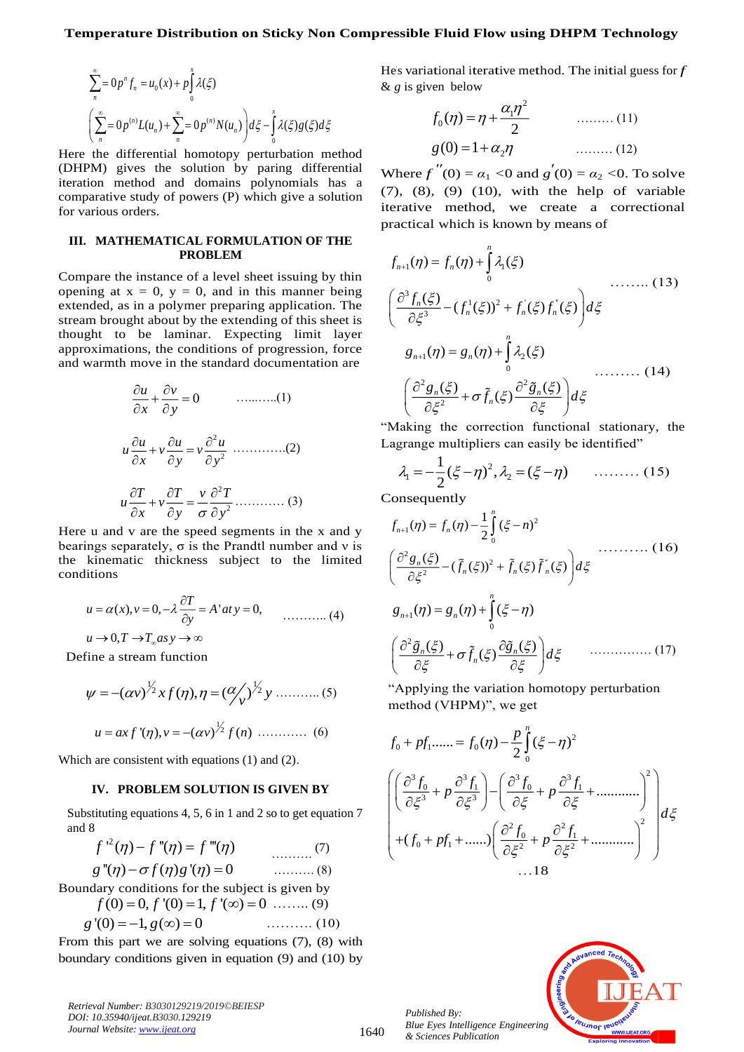$$
\sum_{n}^{\infty} = 0 p^{n} f_{n} = u_{0}(x) + p \int_{0}^{x} \lambda(\xi)
$$
  

$$
\left( \sum_{n}^{\infty} = 0 p^{(n)} L(u_{n}) + \sum_{n}^{\infty} = 0 p^{(n)} N(u_{n}) \right) d\xi - \int_{0}^{x} \lambda(\xi) g(\xi) d\xi
$$

Here the differential homotopy perturbation method (DHPM) gives the solution by paring differential iteration method and domains polynomials has a comparative study of powers (P) which give a solution for various orders.

#### **III. MATHEMATICAL FORMULATION OF THE PROBLEM**

Compare the instance of a level sheet issuing by thin opening at  $x = 0$ ,  $y = 0$ , and in this manner being extended, as in a polymer preparing application. The stream brought about by the extending of this sheet is thought to be laminar. Expecting limit layer approximations, the conditions of progression, force and warmth move in the standard documentation are

$$
\frac{\partial u}{\partial x} + \frac{\partial v}{\partial y} = 0 \qquad \dots \dots \dots \dots (1)
$$
  

$$
u \frac{\partial u}{\partial x} + v \frac{\partial u}{\partial y} = v \frac{\partial^2 u}{\partial y^2} \qquad \dots \dots \dots \dots (2)
$$
  

$$
u \frac{\partial T}{\partial x} + v \frac{\partial T}{\partial y} = \frac{v}{\sigma} \frac{\partial^2 T}{\partial y^2} \dots \dots \dots \dots (3)
$$

Here u and v are the speed segments in the x and y bearings separately,  $\sigma$  is the Prandtl number and v is the kinematic thickness subject to the limited conditions

$$
u = \alpha(x), v = 0, -\lambda \frac{\partial T}{\partial y} = A'at y = 0, \qquad \dots \dots \dots \dots (4)
$$
  
 
$$
u \to 0, T \to T_{\infty}as y \to \infty
$$

Define a stream function

$$
\psi = -(\alpha v)^{\frac{1}{2}} x f(\eta), \eta = (\alpha \frac{1}{v})^{\frac{1}{2}} y \dots \dots \dots \dots (5)
$$
  

$$
u = ax f'(\eta), v = -(\alpha v)^{\frac{1}{2}} f(n) \dots \dots \dots \dots (6)
$$

Which are consistent with equations (1) and (2).

## **IV. PROBLEM SOLUTION IS GIVEN BY**

Substituting equations 4, 5, 6 in 1 and 2 so to get equation 7 and 8

2 *f f f* ' ( ) ''( ) '''( ) − = ………. (7) ………. (8)

 $g^{\pi}(\eta) - \sigma f(\eta)g^{\pi}(\eta) = 0$ Boundary conditions for the subject is given by

 $f(0) = 0, f'(0) = 1, f'(\infty) = 0$  ……... (9) *<sup>g</sup> <sup>g</sup>* '(0) 1, ( ) 0 <sup>=</sup> <sup>−</sup> <sup>=</sup> ………. (10)

From this part we are solving equations (7), (8) with boundary conditions given in equation (9) and (10) by

*Retrieval Number: B3030129219/2019©BEIESP DOI: 10.35940/ijeat.B3030.129219 Journal Website[: www.ijeat.org](http://www.ijeat.org/)*

He's variational iterative method. The initial guess for *f*  & *g* is given below

$$
f_0(\eta) = \eta + \frac{\alpha_1 \eta^2}{2}
$$
 ......(11)  
 
$$
g(0) = 1 + \alpha_2 \eta
$$
 ......(12)

Where  $f''(0) = \alpha_1 < 0$  and  $g'(0) = \alpha_2 < 0$ . To solve (7), (8), (9) (10), with the help of variable iterative method, we create a correctional practical which is known by means of

$$
f_{n+1}(\eta) = f_n(\eta) + \int_0^n \lambda_1(\xi)
$$
  
\n
$$
\left(\frac{\partial^3 f_n(\xi)}{\partial \xi^3} - (f_n^1(\xi))^2 + f_n^{\dagger}(\xi) f_n^{\dagger}(\xi)\right) d\xi
$$
  
\n
$$
g_{n+1}(\eta) = g_n(\eta) + \int_0^n \lambda_2(\xi)
$$
  
\n
$$
\left(\frac{\partial^2 g_n(\xi)}{\partial \xi^2} + \sigma \tilde{f}_n(\xi) \frac{\partial^2 \tilde{g}_n(\xi)}{\partial \xi}\right) d\xi
$$
  
\n(14)

"Making the correction functional stationary, the Lagrange multipliers can easily be identified"

$$
\lambda_1 = -\frac{1}{2}(\xi - \eta)^2, \lambda_2 = (\xi - \eta) \qquad \dots \dots \dots \tag{15}
$$

Consequently

$$
f_{n+1}(\eta) = f_n(\eta) - \frac{1}{2} \int_0^{\eta} (\xi - n)^2
$$
  
\n
$$
\left( \frac{\partial^2 g_n(\xi)}{\partial \xi^2} - (\tilde{f}_n(\xi))^2 + \tilde{f}_n(\xi) \tilde{f}_n(\xi) \right) d\xi
$$
  
\n
$$
g_{n+1}(\eta) = g_n(\eta) + \int_0^{\eta} (\xi - \eta)
$$
  
\n
$$
\left( \frac{\partial^2 \tilde{g}_n(\xi)}{\partial \xi} + \sigma \tilde{f}_n(\xi) \frac{\partial \tilde{g}_n(\xi)}{\partial \xi} \right) d\xi
$$
 (17)

"Applying the variation homotopy perturbation method (VHPM)", we get

$$
f_0 + pf_1 \dots = f_0(\eta) - \frac{p}{2} \int_0^{\eta} (\xi - \eta)^2
$$
  

$$
\left( \frac{\partial^3 f_0}{\partial \xi^3} + p \frac{\partial^3 f_1}{\partial \xi^3} \right) - \left( \frac{\partial^3 f_0}{\partial \xi} + p \frac{\partial^3 f_1}{\partial \xi} + \dots \right)^2
$$
  

$$
+ (f_0 + pf_1 + \dots) \left( \frac{\partial^2 f_0}{\partial \xi^2} + p \frac{\partial^2 f_1}{\partial \xi^2} + \dots \right)^2
$$
  

$$
\dots 18
$$

*Published By: Blue Eyes Intelligence Engineering & Sciences Publication* 

1640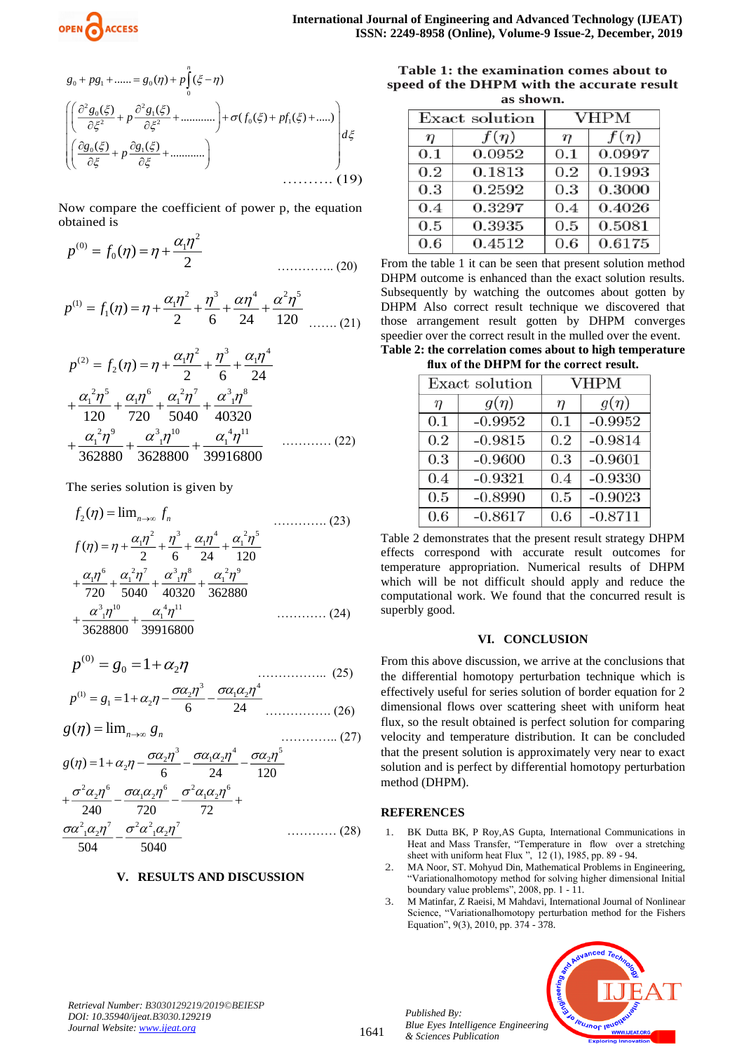

$$
g_0 + pg_1 + \dots = g_0(\eta) + p \int_0^{\eta} (\xi - \eta)
$$
  
\n
$$
\left( \frac{\partial^2 g_0(\xi)}{\partial \xi^2} + p \frac{\partial^2 g_1(\xi)}{\partial \xi^2} + \dots \dots \right) + \sigma(f_0(\xi) + pf_1(\xi) + \dots) \right) d\xi
$$
  
\n
$$
\left( \frac{\partial g_0(\xi)}{\partial \xi} + p \frac{\partial g_1(\xi)}{\partial \xi} + \dots \dots \dots \dots \right)
$$
 (19)

Now compare the coefficient of power p, the equation obtained is

$$
p^{(0)} = f_0(\eta) = \eta + \frac{\alpha_1 \eta^2}{2}
$$
 (20)

$$
p^{(1)} = f_1(\eta) = \eta + \frac{\alpha_1 \eta^2}{2} + \frac{\eta^3}{6} + \frac{\alpha \eta^4}{24} + \frac{\alpha^2 \eta^5}{120} \dots \dots (21)
$$

$$
p^{(2)} = f_2(\eta) = \eta + \frac{\alpha_1 \eta^2}{2} + \frac{\eta^3}{6} + \frac{\alpha_1 \eta^4}{24}
$$
  
+  $\frac{\alpha_1^2 \eta^5}{120} + \frac{\alpha_1 \eta^6}{720} + \frac{\alpha_1^2 \eta^7}{5040} + \frac{\alpha^3_1 \eta^8}{40320}$   
+  $\frac{\alpha_1^2 \eta^9}{362880} + \frac{\alpha^3_1 \eta^{10}}{3628800} + \frac{\alpha_1^4 \eta^{11}}{3628800}$  (22)

The series solution is given by

$$
f_2(\eta) = \lim_{n \to \infty} f_n
$$
\n
$$
f(\eta) = \eta + \frac{\alpha_1 \eta^2}{2} + \frac{\eta^3}{6} + \frac{\alpha_1 \eta^4}{24} + \frac{\alpha_1^2 \eta^5}{120}
$$
\n
$$
+ \frac{\alpha_1 \eta^6}{720} + \frac{\alpha_1^2 \eta^7}{5040} + \frac{\alpha_1^3 \eta^8}{40320} + \frac{\alpha_1^2 \eta^9}{362880}
$$
\n
$$
+ \frac{\alpha_1^3 \eta^{10}}{3628800} + \frac{\alpha_1^4 \eta^{11}}{39916800}
$$
\n(24)

$$
p^{(0)} = g_0 = 1 + \alpha_2 \eta
$$
\n
$$
p^{(1)} = g_0 = 1 + \alpha_2 \eta - \frac{\sigma \alpha_2 \eta^3}{\sigma^2 \eta^2 - \sigma^2 \alpha_2 \eta^4}
$$
\n(25)

$$
p^{(1)} = g_1 = 1 + \alpha_2 \eta - \frac{\sigma \alpha_2 \eta^3}{6} - \frac{\sigma \alpha_1 \alpha_2 \eta^4}{24} \dots \dots \dots \dots (26)
$$

$$
g(\eta) = \lim_{n \to \infty} g_n
$$
\n
$$
g(\eta) = 1 + \alpha_2 \eta - \frac{\sigma \alpha_2 \eta^3}{6} - \frac{\sigma \alpha_1 \alpha_2 \eta^4}{24} - \frac{\sigma \alpha_2 \eta^5}{120}
$$
\n(27)

$$
+\frac{\sigma^2 \alpha_2 \eta^6}{240} - \frac{\sigma \alpha_1 \alpha_2 \eta^6}{720} - \frac{\sigma^2 \alpha_1 \alpha_2 \eta^6}{72} +
$$
  

$$
\frac{\sigma \alpha^2_1 \alpha_2 \eta^7}{504} - \frac{\sigma^2 \alpha^2_1 \alpha_2 \eta^7}{5040} \qquad \qquad \dots \dots \dots \dots \tag{28}
$$

#### **V. RESULTS AND DISCUSSION**

**Table 1: the examination comes about to speed of the DHPM with the accurate result as shown.**

| Exact solution |           | <b>VHPM</b> |           |
|----------------|-----------|-------------|-----------|
| $\eta$         | $f(\eta)$ | $\eta$      | $f(\eta)$ |
| 0.1            | 0.0952    | 0.1         | 0.0997    |
| 0.2            | 0.1813    | 0.2         | 0.1993    |
| 0.3            | 0.2592    | 0.3         | 0.3000    |
| 0.4            | 0.3297    | 0.4         | 0.4026    |
| 0.5            | 0.3935    | 0.5         | 0.5081    |
| 0.6            | 0.4512    | 0.6         | 0.6175    |

From the table 1 it can be seen that present solution method DHPM outcome is enhanced than the exact solution results. Subsequently by watching the outcomes about gotten by DHPM Also correct result technique we discovered that those arrangement result gotten by DHPM converges speedier over the correct result in the mulled over the event. **Table 2: the correlation comes about to high temperature** 

**flux of the DHPM for the correct result.**

| Exact solution |           | <b>VHPM</b> |           |
|----------------|-----------|-------------|-----------|
| $\eta$         | $g(\eta)$ | $\eta$      | $g(\eta)$ |
| 0.1            | $-0.9952$ | 0.1         | $-0.9952$ |
| 0.2            | $-0.9815$ | 0.2         | $-0.9814$ |
| 0.3            | $-0.9600$ | 0.3         | $-0.9601$ |
| 0.4            | $-0.9321$ | 0.4         | $-0.9330$ |
| 0.5            | $-0.8990$ | 0.5         | $-0.9023$ |
| 0.6            | $-0.8617$ | 0.6         | $-0.8711$ |

Table 2 demonstrates that the present result strategy DHPM effects correspond with accurate result outcomes for temperature appropriation. Numerical results of DHPM which will be not difficult should apply and reduce the computational work. We found that the concurred result is superbly good.

#### **VI. CONCLUSION**

From this above discussion, we arrive at the conclusions that the differential homotopy perturbation technique which is effectively useful for series solution of border equation for 2 dimensional flows over scattering sheet with uniform heat flux, so the result obtained is perfect solution for comparing velocity and temperature distribution. It can be concluded that the present solution is approximately very near to exact solution and is perfect by differential homotopy perturbation method (DHPM).

#### **REFERENCES**

- 1. BK Dutta BK, P Roy,AS Gupta, International Communications in Heat and Mass Transfer, "Temperature in flow over a stretching sheet with uniform heat Flux ", 12 (1), 1985, pp. 89 - 94.
- 2. MA Noor, ST. Mohyud Din, Mathematical Problems in Engineering, "Variationalhomotopy method for solving higher dimensional Initial boundary value problems", 2008, pp. 1 - 11.
- 3. M Matinfar, Z Raeisi, M Mahdavi, International Journal of Nonlinear Science, "Variationalhomotopy perturbation method for the Fishers Equation", 9(3), 2010, pp. 374 - 378.



*Retrieval Number: B3030129219/2019©BEIESP DOI: 10.35940/ijeat.B3030.129219 Journal Website[: www.ijeat.org](http://www.ijeat.org/)*

*Published By: Blue Eyes Intelligence Engineering & Sciences Publication*